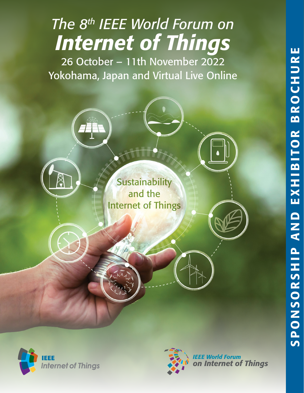

Yokohama, Japan and Virtual Live Online

**Sustainability** and the Internet of Things





**IEEE World Forum** on Internet of Things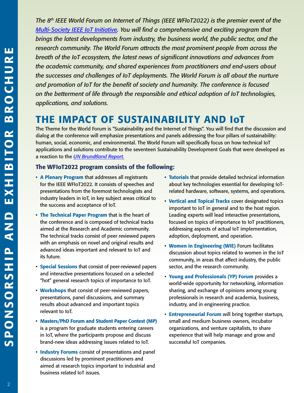*The 8th IEEE World Forum on Internet of Things (IEEE WFIoT2022) is the premier event of [the](https://iot.ieee.org/)  [Multi-Society IEEE IoT Initiative](https://iot.ieee.org/). You will find a comprehensive and exciting program that brings the latest developments from industry, the business world, the public sector, and the research community. The World Forum attracts the most prominent people from across the breath of the IoT ecosystem, the latest news of significant innovations and advances from the academic community, and shared experiences from practitioners and end-users about the successes and challenges of IoT deployments. The World Forum is all about the nurture and promotion of IoT for the benefit of society and humanity. The conference is focused on the betterment of life through the responsible and ethical adoption of IoT technologies, applications, and solutions.*

## THE IMPACT OF SUSTAINABILITY AND IoT

The Theme for the World Forum is "Sustainability and the Internet of Things". You will find that the discussion and dialog at the conference will emphasize presentations and panels addressing the four pillars of sustainability: human, social, economic, and environmental. The World Forum will specifically focus on how technical IoT applications and solutions contribute to the seventeen Sustainability Development Goals that were developed as a reaction to the *[UN Brundtland Report.](https://sustainabledevelopment.un.org/content/documents/5987our-common-future.pdf)*

## The WFIoT2022 program consists of the following:

- A Plenary Program that addresses all registrants for the IEEE WFIoT2022. It consists of speeches and presentations from the foremost technologists and industry leaders in IoT, in key subject areas critical to the success and acceptance of IoT.
- The Technical Paper Program that is the heart of the conference and is composed of technical tracks aimed at the Research and Academic community. The technical tracks consist of peer reviewed papers with an emphasis on novel and original results and advanced ideas important and relevant to IoT and its future.
- Special Sessions that consist of peer-reviewed papers and interactive presentations focused on a selected "hot" general research topics of importance to IoT.
- Workshops that consist of peer-reviewed papers, presentations, panel discussions, and summary results about advanced and important topics relevant to IoT.
- Masters/PhD Forum and Student Paper Contest (MP) is a program for graduate students entering careers in IoT, where the participants propose and discuss brand-new ideas addressing issues related to IoT.
- Industry Forums consist of presentations and panel discussions led by prominent practitioners and aimed at research topics important to industrial and business related IoT issues.
- Tutorials that provide detailed technical information about key technologies essential for developing IoTrelated hardware, software, systems, and operations.
- Vertical and Topical Tracks cover designated topics important to IoT in general and to the host region. Leading experts will lead interactive presentations, focused on topics of importance to IoT practitioners, addressing aspects of actual IoT implementation, adoption, deployment, and operation.
- Women in Engineering (WIE) Forum facilitates discussion about topics related to women in the IoT community, in areas that affect industry, the public sector, and the research community.
- Young and Professionals (YP) Forum provides a world-wide opportunity for networking, information sharing, and exchange of opinions among young professionals in research and academia, business, industry, and in engineering practice.
- **Entrepreneurial Forum** will bring together startups, small and medium business owners, incubator organizations, and venture capitalists, to share experience that will help manage and grow and successful IoT companies.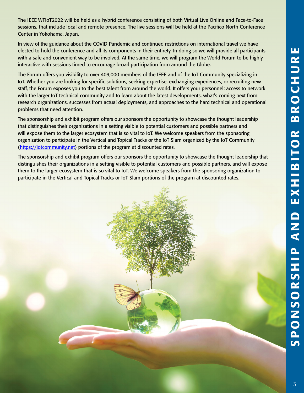The IEEE WFIoT2022 will be held as a hybrid conference consisting of both Virtual Live Online and Face-to-Face sessions, that include local and remote presence. The live sessions will be held at the Pacifico North Conference Center in Yokohama, Japan.

In view of the guidance about the COVID Pandemic and continued restrictions on international travel we have elected to hold the conference and all its components in their entirety. In doing so we will provide all participants with a safe and convenient way to be involved. At the same time, we will program the World Forum to be highly interactive with sessions timed to encourage broad participation from around the Globe.

The Forum offers you visibility to over 409,000 members of the IEEE and of the IoT Community specializing in IoT. Whether you are looking for specific solutions, seeking expertise, exchanging experiences, or recruiting new staff, the Forum exposes you to the best talent from around the world. It offers your personnel: access to network with the larger IoT technical community and to learn about the latest developments, what's coming next from research organizations, successes from actual deployments, and approaches to the hard technical and operational problems that need attention.

The sponsorship and exhibit program offers our sponsors the opportunity to showcase the thought leadership that distinguishes their organizations in a setting visible to potential customers and possible partners and will expose them to the larger ecosystem that is so vital to IoT. We welcome speakers from the sponsoring organization to participate in the Vertical and Topical Tracks or the IoT Slam organized by the IoT Community ([https://iotcommunity.net\)](https://iotcommunity.net) portions of the program at discounted rates.

The sponsorship and exhibit program offers our sponsors the opportunity to showcase the thought leadership that distinguishes their organizations in a setting visible to potential customers and possible partners, and will expose them to the larger ecosystem that is so vital to IoT. We welcome speakers from the sponsoring organization to participate in the Vertical and Topical Tracks or IoT Slam portions of the program at discounted rates.